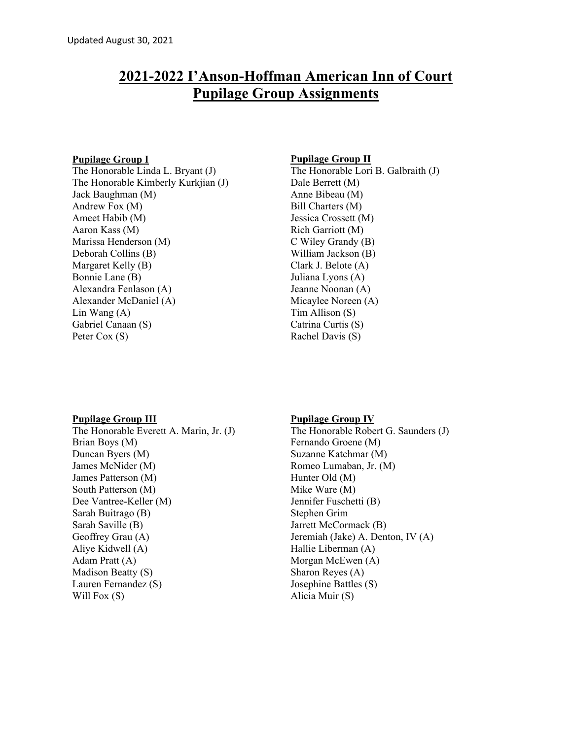# **2021-2022 I'Anson-Hoffman American Inn of Court Pupilage Group Assignments**

# **Pupilage Group I**

The Honorable Linda L. Bryant (J) The Honorable Kimberly Kurkjian (J) Jack Baughman (M) Andrew Fox (M) Ameet Habib (M) Aaron Kass (M) Marissa Henderson (M) Deborah Collins (B) Margaret Kelly (B) Bonnie Lane (B) Alexandra Fenlason (A) Alexander McDaniel (A) Lin Wang (A) Gabriel Canaan (S) Peter Cox (S)

# **Pupilage Group II**

The Honorable Lori B. Galbraith (J) Dale Berrett (M) Anne Bibeau (M) Bill Charters (M) Jessica Crossett (M) Rich Garriott (M) C Wiley Grandy (B) William Jackson (B) Clark J. Belote (A) Juliana Lyons (A) Jeanne Noonan (A) Micaylee Noreen (A) Tim Allison (S) Catrina Curtis (S) Rachel Davis (S)

#### **Pupilage Group III**

The Honorable Everett A. Marin, Jr. (J) Brian Boys (M) Duncan Byers (M) James McNider (M) James Patterson (M) South Patterson (M) Dee Vantree-Keller (M) Sarah Buitrago (B) Sarah Saville (B) Geoffrey Grau (A) Aliye Kidwell (A) Adam Pratt (A) Madison Beatty (S) Lauren Fernandez (S) Will Fox (S)

#### **Pupilage Group IV**

The Honorable Robert G. Saunders (J) Fernando Groene (M) Suzanne Katchmar (M) Romeo Lumaban, Jr. (M) Hunter Old (M) Mike Ware (M) Jennifer Fuschetti (B) Stephen Grim Jarrett McCormack (B) Jeremiah (Jake) A. Denton, IV (A) Hallie Liberman (A) Morgan McEwen (A) Sharon Reyes (A) Josephine Battles (S) Alicia Muir (S)